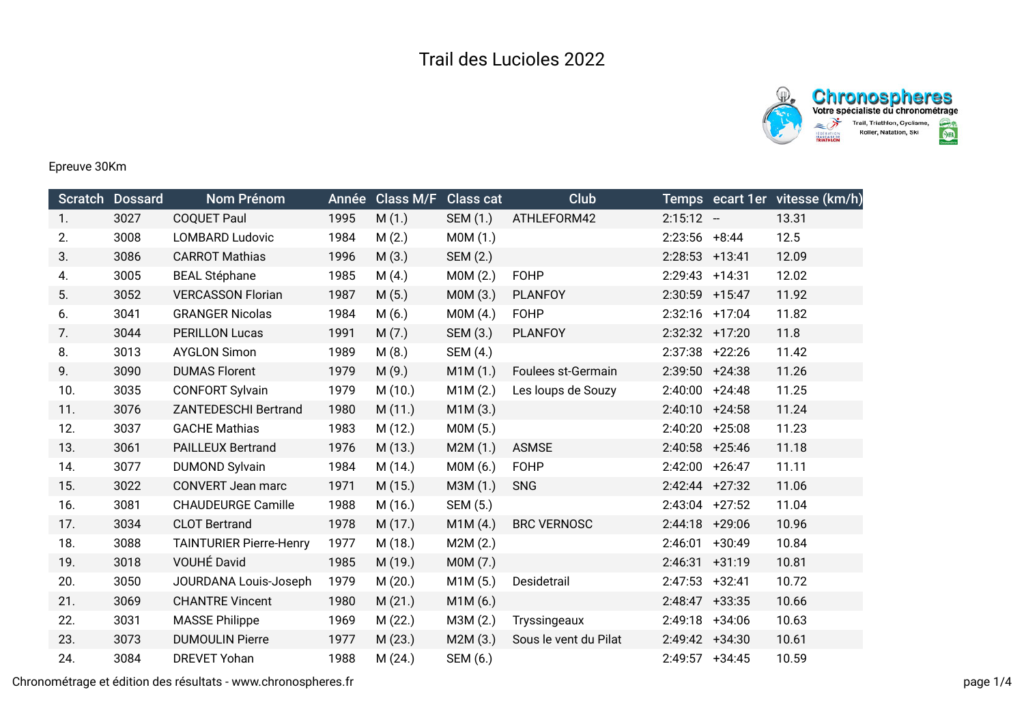



## Epreuve 30Km

|     | <b>Scratch Dossard</b> | Nom Prénom                     | Année | Class M/F | <b>Class cat</b> | <b>Club</b>           |                   |          | Temps ecart 1er vitesse (km/h) |
|-----|------------------------|--------------------------------|-------|-----------|------------------|-----------------------|-------------------|----------|--------------------------------|
| 1.  | 3027                   | <b>COQUET Paul</b>             | 1995  | M(1.)     | SEM (1.)         | ATHLEFORM42           | $2:15:12 -$       |          | 13.31                          |
| 2.  | 3008                   | <b>LOMBARD Ludovic</b>         | 1984  | M(2.)     | MOM(1.)          |                       | $2:23:56$ +8:44   |          | 12.5                           |
| 3.  | 3086                   | <b>CARROT Mathias</b>          | 1996  | M(3.)     | SEM (2.)         |                       | $2:28:53$ +13:41  |          | 12.09                          |
| 4.  | 3005                   | <b>BEAL Stéphane</b>           | 1985  | M(4.)     | MOM(2.)          | <b>FOHP</b>           | $2:29:43$ +14:31  |          | 12.02                          |
| 5.  | 3052                   | <b>VERCASSON Florian</b>       | 1987  | M(5.)     | M0M (3.)         | <b>PLANFOY</b>        | 2:30:59           | $+15:47$ | 11.92                          |
| 6.  | 3041                   | <b>GRANGER Nicolas</b>         | 1984  | M(6.)     | MOM(4.)          | <b>FOHP</b>           | $2:32:16$ +17:04  |          | 11.82                          |
| 7.  | 3044                   | <b>PERILLON Lucas</b>          | 1991  | M(7.)     | SEM (3.)         | <b>PLANFOY</b>        | $2:32:32$ +17:20  |          | 11.8                           |
| 8.  | 3013                   | <b>AYGLON Simon</b>            | 1989  | M(8.)     | SEM (4.)         |                       | $2:37:38$ +22:26  |          | 11.42                          |
| 9.  | 3090                   | <b>DUMAS Florent</b>           | 1979  | M(9.)     | M1M(1.)          | Foulees st-Germain    | $2:39:50 + 24:38$ |          | 11.26                          |
| 10. | 3035                   | <b>CONFORT Sylvain</b>         | 1979  | M(10.)    | M1M(2.)          | Les loups de Souzy    | $2:40:00$ +24:48  |          | 11.25                          |
| 11. | 3076                   | <b>ZANTEDESCHI Bertrand</b>    | 1980  | M(11.)    | M1M(3.)          |                       | $2:40:10 + 24:58$ |          | 11.24                          |
| 12. | 3037                   | <b>GACHE Mathias</b>           | 1983  | M(12.)    | M0M (5.)         |                       | 2:40:20 +25:08    |          | 11.23                          |
| 13. | 3061                   | <b>PAILLEUX Bertrand</b>       | 1976  | M(13.)    | M2M(1.)          | <b>ASMSE</b>          | $2:40:58$ +25:46  |          | 11.18                          |
| 14. | 3077                   | <b>DUMOND Sylvain</b>          | 1984  | M (14.)   | M0M (6.)         | <b>FOHP</b>           | $2:42:00$ +26:47  |          | 11.11                          |
| 15. | 3022                   | <b>CONVERT Jean marc</b>       | 1971  | M(15.)    | M3M (1.)         | <b>SNG</b>            | $2:42:44$ +27:32  |          | 11.06                          |
| 16. | 3081                   | <b>CHAUDEURGE Camille</b>      | 1988  | M (16.)   | SEM (5.)         |                       | $2:43:04$ +27:52  |          | 11.04                          |
| 17. | 3034                   | <b>CLOT Bertrand</b>           | 1978  | M (17.)   | M1M(4.)          | <b>BRC VERNOSC</b>    | $2:44:18$ +29:06  |          | 10.96                          |
| 18. | 3088                   | <b>TAINTURIER Pierre-Henry</b> | 1977  | M (18.)   | M2M(2.)          |                       | 2:46:01           | $+30:49$ | 10.84                          |
| 19. | 3018                   | VOUHÉ David                    | 1985  | M (19.)   | M0M (7.)         |                       | 2:46:31           | $+31:19$ | 10.81                          |
| 20. | 3050                   | JOURDANA Louis-Joseph          | 1979  | M(20.)    | M1M (5.)         | Desidetrail           | $2:47:53$ +32:41  |          | 10.72                          |
| 21. | 3069                   | <b>CHANTRE Vincent</b>         | 1980  | M(21.)    | M1M (6.)         |                       | $2:48:47$ +33:35  |          | 10.66                          |
| 22. | 3031                   | <b>MASSE Philippe</b>          | 1969  | M(22.)    | M3M (2.)         | Tryssingeaux          | $2:49:18$ +34:06  |          | 10.63                          |
| 23. | 3073                   | <b>DUMOULIN Pierre</b>         | 1977  | M(23.)    | M2M(3.)          | Sous le vent du Pilat | $2:49:42 +34:30$  |          | 10.61                          |
| 24. | 3084                   | <b>DREVET Yohan</b>            | 1988  | M(24.)    | SEM (6.)         |                       | $2:49:57$ +34:45  |          | 10.59                          |

Chronométrage et édition des résultats - www.chronospheres.fr page 1/4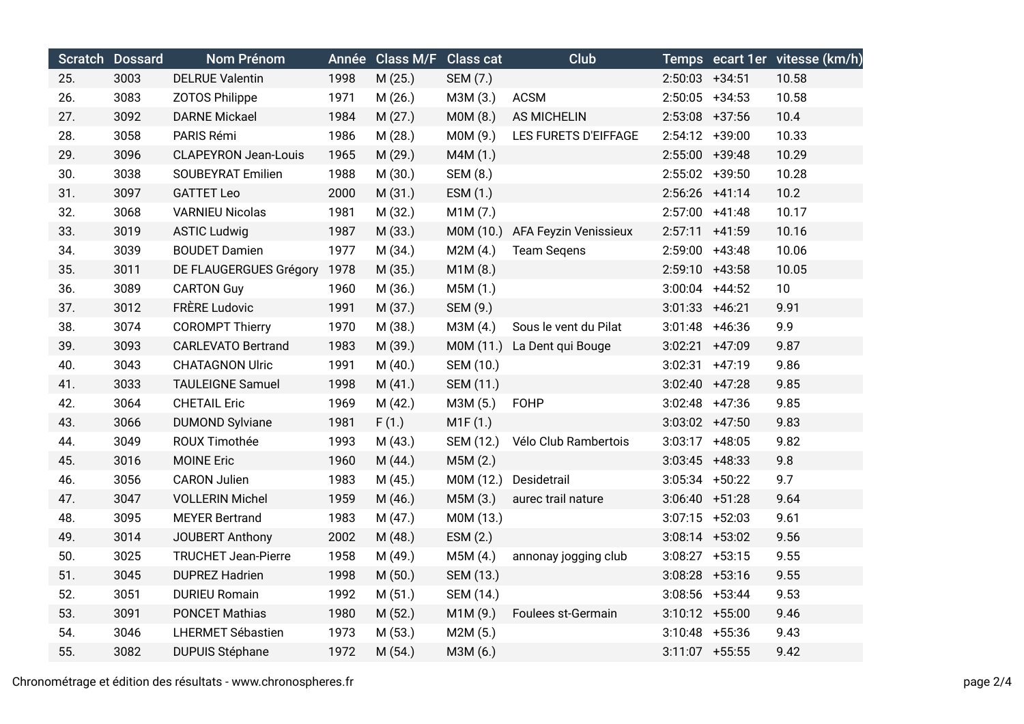|     | <b>Scratch Dossard</b> | Nom Prénom                  |      | Année Class M/F Class cat |           | Club                  |                   |                  | Temps ecart 1er vitesse (km/h) |
|-----|------------------------|-----------------------------|------|---------------------------|-----------|-----------------------|-------------------|------------------|--------------------------------|
| 25. | 3003                   | <b>DELRUE Valentin</b>      | 1998 | M(25.)                    | SEM (7.)  |                       | $2:50:03$ +34:51  |                  | 10.58                          |
| 26. | 3083                   | <b>ZOTOS Philippe</b>       | 1971 | M(26.)                    | M3M (3.)  | <b>ACSM</b>           | $2:50:05$ +34:53  |                  | 10.58                          |
| 27. | 3092                   | <b>DARNE Mickael</b>        | 1984 | M(27.)                    | MOM(8.)   | <b>AS MICHELIN</b>    | $2:53:08$ +37:56  |                  | 10.4                           |
| 28. | 3058                   | PARIS Rémi                  | 1986 | M(28.)                    | M0M (9.)  | LES FURETS D'EIFFAGE  | $2:54:12 +39:00$  |                  | 10.33                          |
| 29. | 3096                   | <b>CLAPEYRON Jean-Louis</b> | 1965 | M (29.)                   | M4M (1.)  |                       | $2:55:00$ +39:48  |                  | 10.29                          |
| 30. | 3038                   | <b>SOUBEYRAT Emilien</b>    | 1988 | M (30.)                   | SEM (8.)  |                       | 2:55:02 +39:50    |                  | 10.28                          |
| 31. | 3097                   | <b>GATTET Leo</b>           | 2000 | M(31.)                    | ESM (1.)  |                       | $2:56:26$ +41:14  |                  | 10.2                           |
| 32. | 3068                   | <b>VARNIEU Nicolas</b>      | 1981 | M (32.)                   | M1M(7.)   |                       | $2:57:00$ +41:48  |                  | 10.17                          |
| 33. | 3019                   | <b>ASTIC Ludwig</b>         | 1987 | M (33.)                   | M0M (10.) | AFA Feyzin Venissieux | $2:57:11 +41:59$  |                  | 10.16                          |
| 34. | 3039                   | <b>BOUDET Damien</b>        | 1977 | M (34.)                   | M2M(4.)   | <b>Team Seqens</b>    | $2:59:00$ +43:48  |                  | 10.06                          |
| 35. | 3011                   | DE FLAUGERGUES Grégory      | 1978 | M (35.)                   | M1M (8.)  |                       | $2:59:10 +43:58$  |                  | 10.05                          |
| 36. | 3089                   | <b>CARTON Guy</b>           | 1960 | M (36.)                   | M5M (1.)  |                       | $3:00:04$ +44:52  |                  | 10                             |
| 37. | 3012                   | <b>FRÈRE Ludovic</b>        | 1991 | M(37.)                    | SEM (9.)  |                       | $3:01:33 + 46:21$ |                  | 9.91                           |
| 38. | 3074                   | <b>COROMPT Thierry</b>      | 1970 | M (38.)                   | M3M (4.)  | Sous le vent du Pilat | $3:01:48$ +46:36  |                  | 9.9                            |
| 39. | 3093                   | <b>CARLEVATO Bertrand</b>   | 1983 | M (39.)                   | M0M (11.) | La Dent qui Bouge     | $3:02:21 +47:09$  |                  | 9.87                           |
| 40. | 3043                   | <b>CHATAGNON Ulric</b>      | 1991 | M(40.)                    | SEM (10.) |                       | $3:02:31 +47:19$  |                  | 9.86                           |
| 41. | 3033                   | <b>TAULEIGNE Samuel</b>     | 1998 | M(41.)                    | SEM (11.) |                       | $3:02:40$ +47:28  |                  | 9.85                           |
| 42. | 3064                   | <b>CHETAIL Eric</b>         | 1969 | M(42.)                    | M3M (5.)  | <b>FOHP</b>           |                   | $3:02:48$ +47:36 | 9.85                           |
| 43. | 3066                   | <b>DUMOND Sylviane</b>      | 1981 | F(1.)                     | M1F(1.)   |                       | $3:03:02$ +47:50  |                  | 9.83                           |
| 44. | 3049                   | ROUX Timothée               | 1993 | M(43.)                    | SEM (12.) | Vélo Club Rambertois  | $3:03:17$ +48:05  |                  | 9.82                           |
| 45. | 3016                   | <b>MOINE Eric</b>           | 1960 | M(44.)                    | M5M (2.)  |                       | $3:03:45$ +48:33  |                  | 9.8                            |
| 46. | 3056                   | <b>CARON Julien</b>         | 1983 | M(45.)                    | M0M (12.) | Desidetrail           | $3:05:34$ +50:22  |                  | 9.7                            |
| 47. | 3047                   | <b>VOLLERIN Michel</b>      | 1959 | M (46.)                   | M5M (3.)  | aurec trail nature    | $3:06:40 +51:28$  |                  | 9.64                           |
| 48. | 3095                   | <b>MEYER Bertrand</b>       | 1983 | M(47.)                    | M0M (13.) |                       | $3:07:15$ +52:03  |                  | 9.61                           |
| 49. | 3014                   | JOUBERT Anthony             | 2002 | M(48.)                    | ESM (2.)  |                       | $3:08:14$ +53:02  |                  | 9.56                           |
| 50. | 3025                   | <b>TRUCHET Jean-Pierre</b>  | 1958 | M (49.)                   | M5M(4.)   | annonay jogging club  | $3:08:27$ +53:15  |                  | 9.55                           |
| 51. | 3045                   | <b>DUPREZ Hadrien</b>       | 1998 | M(50.)                    | SEM (13.) |                       | $3:08:28$ +53:16  |                  | 9.55                           |
| 52. | 3051                   | <b>DURIEU Romain</b>        | 1992 | M(51.)                    | SEM (14.) |                       | $3:08:56$ +53:44  |                  | 9.53                           |
| 53. | 3091                   | <b>PONCET Mathias</b>       | 1980 | M(52.)                    | M1M (9.)  | Foulees st-Germain    | $3:10:12 + 55:00$ |                  | 9.46                           |
| 54. | 3046                   | LHERMET Sébastien           | 1973 | M(53.)                    | M2M(5.)   |                       | $3:10:48$ +55:36  |                  | 9.43                           |
| 55. | 3082                   | <b>DUPUIS Stéphane</b>      | 1972 | M(54.)                    | M3M (6.)  |                       | $3:11:07$ +55:55  |                  | 9.42                           |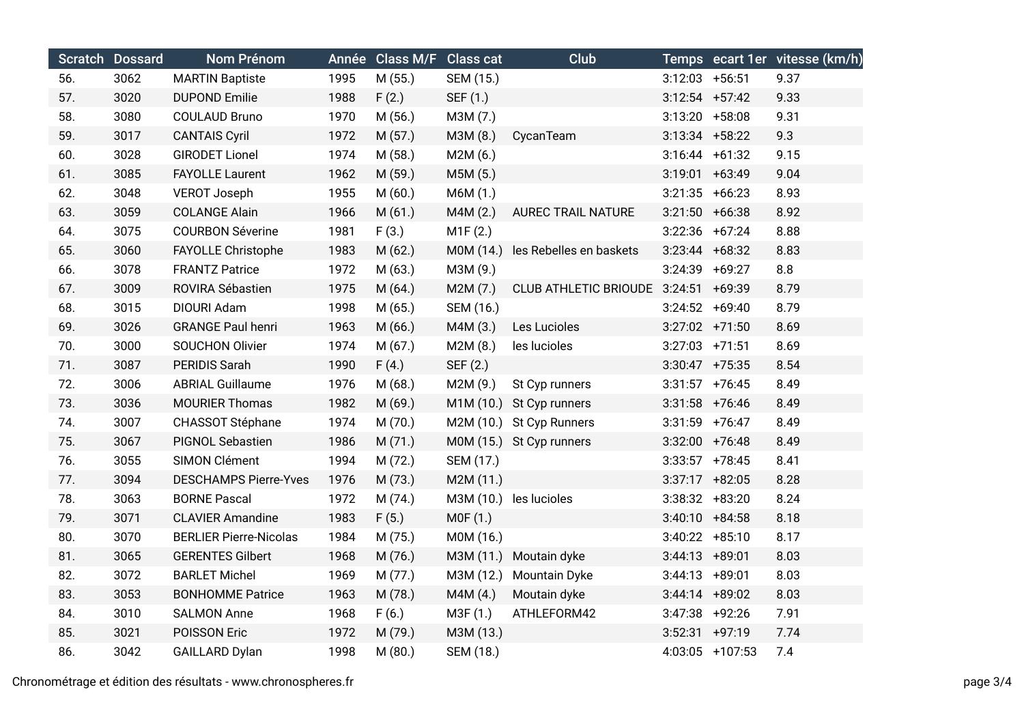|     | Scratch Dossard | Nom Prénom                    |      | Année Class M/F Class cat |           | <b>Club</b>                          |                   |                 | Temps ecart 1er vitesse (km/h) |
|-----|-----------------|-------------------------------|------|---------------------------|-----------|--------------------------------------|-------------------|-----------------|--------------------------------|
| 56. | 3062            | <b>MARTIN Baptiste</b>        | 1995 | M(55.)                    | SEM (15.) |                                      | $3:12:03$ +56:51  |                 | 9.37                           |
| 57. | 3020            | <b>DUPOND Emilie</b>          | 1988 | F(2.)                     | SEF (1.)  |                                      | $3:12:54$ +57:42  |                 | 9.33                           |
| 58. | 3080            | <b>COULAUD Bruno</b>          | 1970 | M(56.)                    | M3M (7.)  |                                      | $3:13:20 + 58:08$ |                 | 9.31                           |
| 59. | 3017            | <b>CANTAIS Cyril</b>          | 1972 | M (57.)                   | M3M (8.)  | CycanTeam                            | $3:13:34$ +58:22  |                 | 9.3                            |
| 60. | 3028            | <b>GIRODET Lionel</b>         | 1974 | M(58.)                    | M2M(6.)   |                                      | $3:16:44 +61:32$  |                 | 9.15                           |
| 61. | 3085            | <b>FAYOLLE Laurent</b>        | 1962 | M (59.)                   | M5M (5.)  |                                      | $3:19:01 +63:49$  |                 | 9.04                           |
| 62. | 3048            | <b>VEROT Joseph</b>           | 1955 | M(60.)                    | M6M (1.)  |                                      | $3:21:35$ +66:23  |                 | 8.93                           |
| 63. | 3059            | <b>COLANGE Alain</b>          | 1966 | M(61.)                    | M4M(2.)   | <b>AUREC TRAIL NATURE</b>            | $3:21:50 +66:38$  |                 | 8.92                           |
| 64. | 3075            | <b>COURBON Séverine</b>       | 1981 | F(3.)                     | M1F(2.)   |                                      | $3:22:36$ +67:24  |                 | 8.88                           |
| 65. | 3060            | FAYOLLE Christophe            | 1983 | M (62.)                   | M0M (14.) | les Rebelles en baskets              | $3:23:44$ +68:32  |                 | 8.83                           |
| 66. | 3078            | <b>FRANTZ Patrice</b>         | 1972 | M(63.)                    | M3M (9.)  |                                      | 3:24:39           | $+69:27$        | 8.8                            |
| 67. | 3009            | ROVIRA Sébastien              | 1975 | M(64.)                    | M2M (7.)  | CLUB ATHLETIC BRIOUDE 3:24:51 +69:39 |                   |                 | 8.79                           |
| 68. | 3015            | DIOURI Adam                   | 1998 | M (65.)                   | SEM (16.) |                                      | $3:24:52 +69:40$  |                 | 8.79                           |
| 69. | 3026            | <b>GRANGE Paul henri</b>      | 1963 | M (66.)                   | M4M (3.)  | Les Lucioles                         | $3:27:02$ +71:50  |                 | 8.69                           |
| 70. | 3000            | <b>SOUCHON Olivier</b>        | 1974 | M (67.)                   | M2M (8.)  | les lucioles                         | $3:27:03$ +71:51  |                 | 8.69                           |
| 71. | 3087            | PERIDIS Sarah                 | 1990 | F(4.)                     | SEF (2.)  |                                      | $3:30:47$ +75:35  |                 | 8.54                           |
| 72. | 3006            | <b>ABRIAL Guillaume</b>       | 1976 | M(68.)                    | M2M (9.)  | St Cyp runners                       | $3:31:57$ +76:45  |                 | 8.49                           |
| 73. | 3036            | <b>MOURIER Thomas</b>         | 1982 | M (69.)                   | M1M (10.) | St Cyp runners                       | $3:31:58$ +76:46  |                 | 8.49                           |
| 74. | 3007            | <b>CHASSOT Stéphane</b>       | 1974 | M (70.)                   |           | M2M (10.) St Cyp Runners             | $3:31:59$ +76:47  |                 | 8.49                           |
| 75. | 3067            | <b>PIGNOL Sebastien</b>       | 1986 | M(71.)                    |           | M0M (15.) St Cyp runners             | $3:32:00$ +76:48  |                 | 8.49                           |
| 76. | 3055            | SIMON Clément                 | 1994 | M (72.)                   | SEM (17.) |                                      | $3:33:57$ +78:45  |                 | 8.41                           |
| 77. | 3094            | <b>DESCHAMPS Pierre-Yves</b>  | 1976 | M (73.)                   | M2M (11.) |                                      | $3:37:17 + 82:05$ |                 | 8.28                           |
| 78. | 3063            | <b>BORNE Pascal</b>           | 1972 | M (74.)                   | M3M (10.) | les lucioles                         | $3:38:32 + 83:20$ |                 | 8.24                           |
| 79. | 3071            | <b>CLAVIER Amandine</b>       | 1983 | F(5.)                     | MOF(1.)   |                                      | $3:40:10 + 84:58$ |                 | 8.18                           |
| 80. | 3070            | <b>BERLIER Pierre-Nicolas</b> | 1984 | M (75.)                   | M0M (16.) |                                      | $3:40:22 + 85:10$ |                 | 8.17                           |
| 81. | 3065            | <b>GERENTES Gilbert</b>       | 1968 | M (76.)                   | M3M (11.) | Moutain dyke                         | $3:44:13 + 89:01$ |                 | 8.03                           |
| 82. | 3072            | <b>BARLET Michel</b>          | 1969 | M (77.)                   | M3M (12.) | <b>Mountain Dyke</b>                 | $3:44:13 + 89:01$ |                 | 8.03                           |
| 83. | 3053            | <b>BONHOMME Patrice</b>       | 1963 | M (78.)                   | M4M(4.)   | Moutain dyke                         | $3:44:14$ +89:02  |                 | 8.03                           |
| 84. | 3010            | <b>SALMON Anne</b>            | 1968 | F(6.)                     | M3F (1.)  | ATHLEFORM42                          | $3:47:38$ +92:26  |                 | 7.91                           |
| 85. | 3021            | POISSON Eric                  | 1972 | M (79.)                   | M3M (13.) |                                      | $3:52:31 +97:19$  |                 | 7.74                           |
| 86. | 3042            | <b>GAILLARD Dylan</b>         | 1998 | M(80.)                    | SEM (18.) |                                      |                   | 4:03:05 +107:53 | 7.4                            |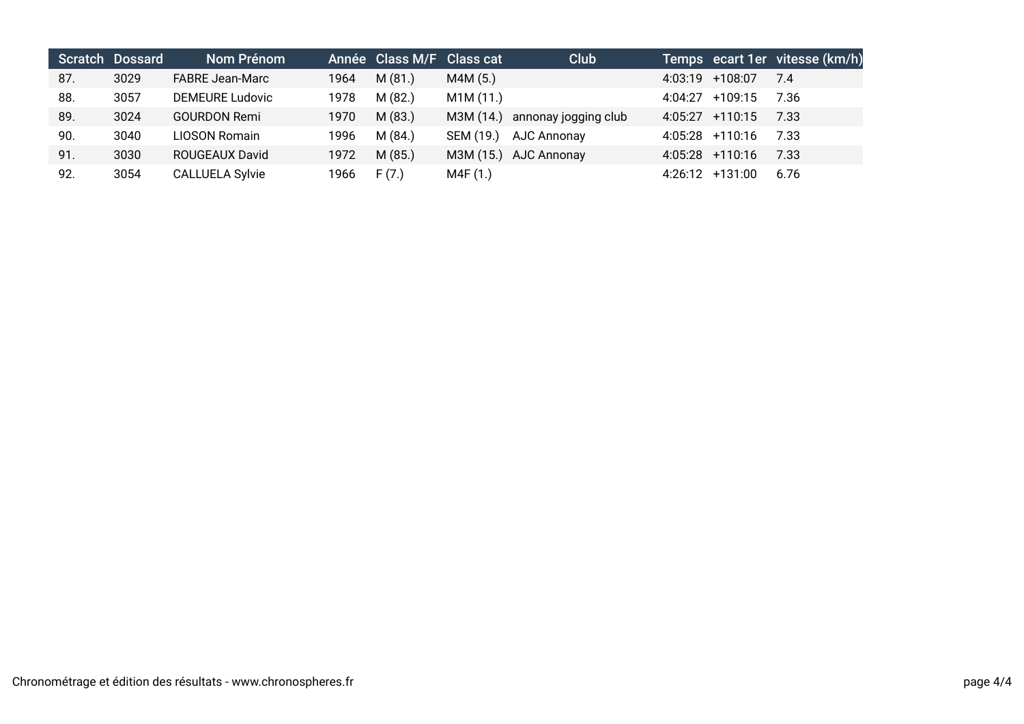|     | <b>Scratch Dossard</b> | Nom Prénom             |      | Année Class M/F Class cat |           | Club                  |                   | Temps ecart 1er vitesse (km/h) |
|-----|------------------------|------------------------|------|---------------------------|-----------|-----------------------|-------------------|--------------------------------|
| 87. | 3029                   | <b>FABRE Jean-Marc</b> | 1964 | M(81.)                    | M4M (5.)  |                       | 4:03:19 +108:07   | 7.4                            |
| 88. | 3057                   | <b>DEMEURE Ludovic</b> | 1978 | M(82.)                    | M1M (11.) |                       | $4:04:27$ +109:15 | 7.36                           |
| 89. | 3024                   | <b>GOURDON Remi</b>    | 1970 | M(83.)                    | M3M (14.) | annonay jogging club  | $4:05:27$ +110:15 | 7.33                           |
| 90. | 3040                   | <b>LIOSON Romain</b>   | 1996 | M(84)                     | SEM (19.) | AJC Annonay           | $4:05:28$ +110:16 | 7.33                           |
| 91. | 3030                   | <b>ROUGEAUX David</b>  | 1972 | M(85.)                    |           | M3M (15.) AJC Annonay | $4:05:28$ +110:16 | 7.33                           |
| 92. | 3054                   | <b>CALLUELA Sylvie</b> | 1966 | F(7.)                     | M4F (1.)  |                       | $4:26:12$ +131:00 | 6.76                           |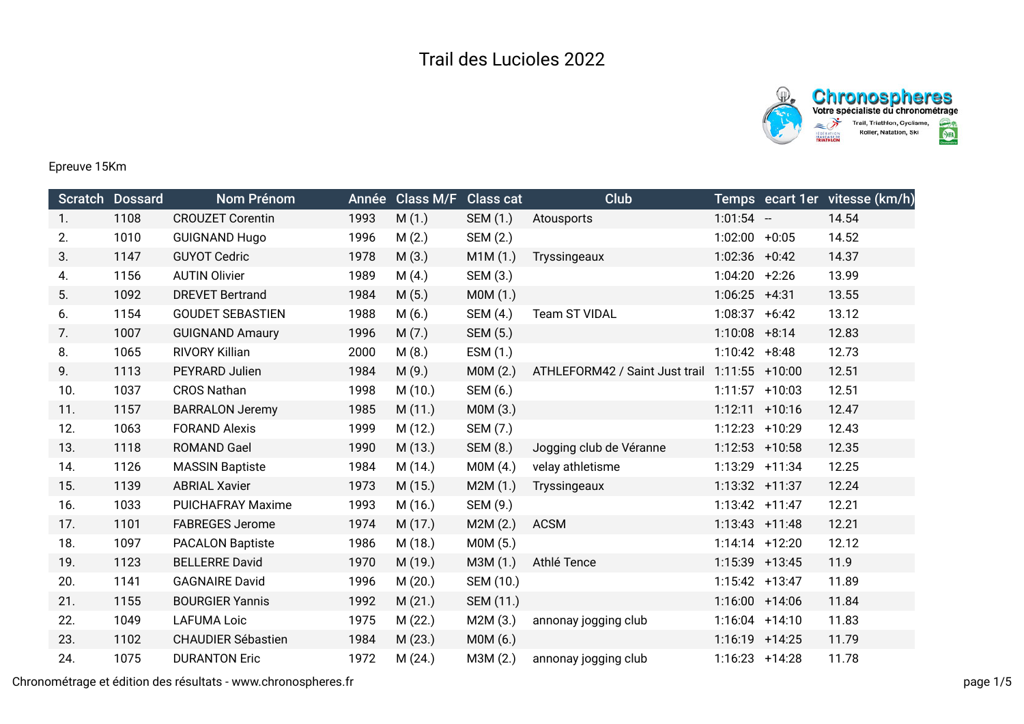

## Epreuve 15Km

|     | Scratch Dossard | <b>Nom Prénom</b>         | Année | <b>Class M/F</b> | <b>Class cat</b> | Club                           |                   |                  | Temps ecart 1er vitesse (km/h) |
|-----|-----------------|---------------------------|-------|------------------|------------------|--------------------------------|-------------------|------------------|--------------------------------|
| 1.  | 1108            | <b>CROUZET Corentin</b>   | 1993  | M(1.)            | SEM (1.)         | Atousports                     | $1:01:54 -$       |                  | 14.54                          |
| 2.  | 1010            | <b>GUIGNAND Hugo</b>      | 1996  | M(2.)            | SEM (2.)         |                                | 1:02:00           | $+0:05$          | 14.52                          |
| 3.  | 1147            | <b>GUYOT Cedric</b>       | 1978  | M(3.)            | M1M(1.)          | Tryssingeaux                   | $1:02:36$ +0:42   |                  | 14.37                          |
| 4.  | 1156            | <b>AUTIN Olivier</b>      | 1989  | M(4.)            | SEM (3.)         |                                | 1:04:20           | $+2:26$          | 13.99                          |
| 5.  | 1092            | <b>DREVET Bertrand</b>    | 1984  | M(5.)            | MOM(1.)          |                                | $1:06:25$ +4:31   |                  | 13.55                          |
| 6.  | 1154            | <b>GOUDET SEBASTIEN</b>   | 1988  | M(6.)            | SEM (4.)         | Team ST VIDAL                  | 1:08:37           | $+6:42$          | 13.12                          |
| 7.  | 1007            | <b>GUIGNAND Amaury</b>    | 1996  | M(7.)            | SEM (5.)         |                                | $1:10:08$ +8:14   |                  | 12.83                          |
| 8.  | 1065            | RIVORY Killian            | 2000  | M(8.)            | ESM (1.)         |                                | $1:10:42 +8:48$   |                  | 12.73                          |
| 9.  | 1113            | PEYRARD Julien            | 1984  | M(9.)            | MOM(2.)          | ATHLEFORM42 / Saint Just trail | $1:11:55$ +10:00  |                  | 12.51                          |
| 10. | 1037            | <b>CROS Nathan</b>        | 1998  | M(10.)           | SEM (6.)         |                                | 1:11:57           | $+10:03$         | 12.51                          |
| 11. | 1157            | <b>BARRALON Jeremy</b>    | 1985  | M(11.)           | M0M (3.)         |                                | $1:12:11$ +10:16  |                  | 12.47                          |
| 12. | 1063            | <b>FORAND Alexis</b>      | 1999  | M(12.)           | SEM (7.)         |                                | 1:12:23           | $+10:29$         | 12.43                          |
| 13. | 1118            | <b>ROMAND Gael</b>        | 1990  | M (13.)          | SEM (8.)         | Jogging club de Véranne        | $1:12:53$ +10:58  |                  | 12.35                          |
| 14. | 1126            | <b>MASSIN Baptiste</b>    | 1984  | M (14.)          | MOM(4.)          | velay athletisme               | 1:13:29           | $+11:34$         | 12.25                          |
| 15. | 1139            | <b>ABRIAL Xavier</b>      | 1973  | M(15.)           | M2M(1.)          | Tryssingeaux                   | 1:13:32 +11:37    |                  | 12.24                          |
| 16. | 1033            | <b>PUICHAFRAY Maxime</b>  | 1993  | M (16.)          | SEM (9.)         |                                | $1:13:42 +11:47$  |                  | 12.21                          |
| 17. | 1101            | <b>FABREGES Jerome</b>    | 1974  | M (17.)          | M2M(2.)          | <b>ACSM</b>                    | $1:13:43$ +11:48  |                  | 12.21                          |
| 18. | 1097            | <b>PACALON Baptiste</b>   | 1986  | M (18.)          | MOM(5.)          |                                |                   | $1:14:14$ +12:20 | 12.12                          |
| 19. | 1123            | <b>BELLERRE David</b>     | 1970  | M (19.)          | M3M (1.)         | Athlé Tence                    | 1:15:39 +13:45    |                  | 11.9                           |
| 20. | 1141            | <b>GAGNAIRE David</b>     | 1996  | M(20.)           | SEM (10.)        |                                | $1:15:42 + 13:47$ |                  | 11.89                          |
| 21. | 1155            | <b>BOURGIER Yannis</b>    | 1992  | M(21.)           | SEM (11.)        |                                | $1:16:00 + 14:06$ |                  | 11.84                          |
| 22. | 1049            | <b>LAFUMA Loic</b>        | 1975  | M (22.)          | M2M (3.)         | annonay jogging club           | 1:16:04           | $+14:10$         | 11.83                          |
| 23. | 1102            | <b>CHAUDIER Sébastien</b> | 1984  | M(23.)           | MOM(6.)          |                                | $1:16:19$ +14:25  |                  | 11.79                          |
| 24. | 1075            | <b>DURANTON Eric</b>      | 1972  | M(24.)           | M3M (2.)         | annonay jogging club           | $1:16:23 + 14:28$ |                  | 11.78                          |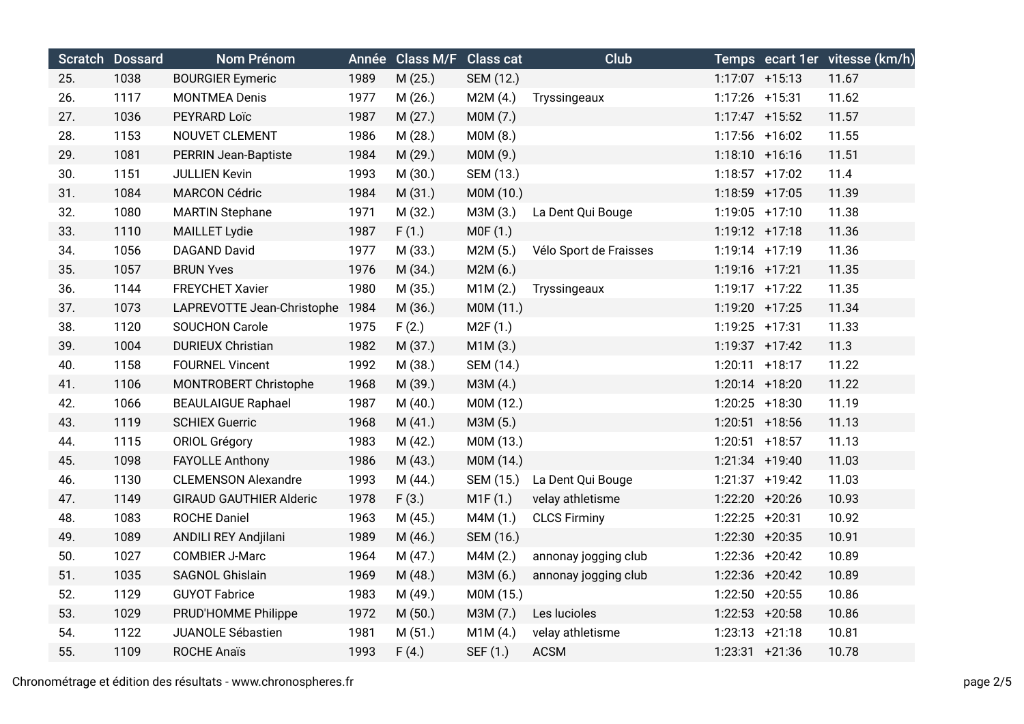|     | Scratch Dossard | Nom Prénom                     | Année | <b>Class M/F</b> Class cat |           | Club                   |                   |                   | Temps ecart 1er vitesse (km/h) |
|-----|-----------------|--------------------------------|-------|----------------------------|-----------|------------------------|-------------------|-------------------|--------------------------------|
| 25. | 1038            | <b>BOURGIER Eymeric</b>        | 1989  | M (25.)                    | SEM (12.) |                        |                   | $1:17:07$ +15:13  | 11.67                          |
| 26. | 1117            | <b>MONTMEA Denis</b>           | 1977  | M (26.)                    | M2M(4.)   | Tryssingeaux           | 1:17:26 +15:31    |                   | 11.62                          |
| 27. | 1036            | PEYRARD Loïc                   | 1987  | M(27.)                     | M0M (7.)  |                        |                   | $1:17:47$ +15:52  | 11.57                          |
| 28. | 1153            | NOUVET CLEMENT                 | 1986  | M (28.)                    | M0M (8.)  |                        |                   | 1:17:56 +16:02    | 11.55                          |
| 29. | 1081            | PERRIN Jean-Baptiste           | 1984  | M (29.)                    | M0M (9.)  |                        |                   | $1:18:10 + 16:16$ | 11.51                          |
| 30. | 1151            | <b>JULLIEN Kevin</b>           | 1993  | M (30.)                    | SEM (13.) |                        |                   | $1:18:57$ +17:02  | 11.4                           |
| 31. | 1084            | <b>MARCON Cédric</b>           | 1984  | M (31.)                    | M0M (10.) |                        | 1:18:59 +17:05    |                   | 11.39                          |
| 32. | 1080            | <b>MARTIN Stephane</b>         | 1971  | M (32.)                    | M3M (3.)  | La Dent Qui Bouge      | $1:19:05$ +17:10  |                   | 11.38                          |
| 33. | 1110            | <b>MAILLET Lydie</b>           | 1987  | F(1.)                      | MOF(1.)   |                        | $1:19:12 +17:18$  |                   | 11.36                          |
| 34. | 1056            | DAGAND David                   | 1977  | M (33.)                    | M2M (5.)  | Vélo Sport de Fraisses | $1:19:14$ +17:19  |                   | 11.36                          |
| 35. | 1057            | <b>BRUN Yves</b>               | 1976  | M (34.)                    | M2M(6.)   |                        | 1:19:16 +17:21    |                   | 11.35                          |
| 36. | 1144            | <b>FREYCHET Xavier</b>         | 1980  | M (35.)                    | M1M(2.)   | Tryssingeaux           |                   | $1:19:17$ +17:22  | 11.35                          |
| 37. | 1073            | LAPREVOTTE Jean-Christophe     | 1984  | M (36.)                    | M0M (11.) |                        | 1:19:20 +17:25    |                   | 11.34                          |
| 38. | 1120            | <b>SOUCHON Carole</b>          | 1975  | F(2.)                      | M2F(1.)   |                        | 1:19:25 +17:31    |                   | 11.33                          |
| 39. | 1004            | <b>DURIEUX Christian</b>       | 1982  | M (37.)                    | M1M(3.)   |                        |                   | $1:19:37$ +17:42  | 11.3                           |
| 40. | 1158            | <b>FOURNEL Vincent</b>         | 1992  | M (38.)                    | SEM (14.) |                        | $1:20:11$ +18:17  |                   | 11.22                          |
| 41. | 1106            | MONTROBERT Christophe          | 1968  | M (39.)                    | M3M (4.)  |                        |                   | $1:20:14$ +18:20  | 11.22                          |
| 42. | 1066            | <b>BEAULAIGUE Raphael</b>      | 1987  | M(40.)                     | M0M (12.) |                        | $1:20:25$ +18:30  |                   | 11.19                          |
| 43. | 1119            | <b>SCHIEX Guerric</b>          | 1968  | M(41.)                     | M3M (5.)  |                        | $1:20:51$ +18:56  |                   | 11.13                          |
| 44. | 1115            | <b>ORIOL Grégory</b>           | 1983  | M(42.)                     | M0M (13.) |                        |                   | $1:20:51$ +18:57  | 11.13                          |
| 45. | 1098            | <b>FAYOLLE Anthony</b>         | 1986  | M (43.)                    | M0M (14.) |                        |                   | $1:21:34$ +19:40  | 11.03                          |
| 46. | 1130            | <b>CLEMENSON Alexandre</b>     | 1993  | M (44.)                    | SEM (15.) | La Dent Qui Bouge      |                   | $1:21:37$ +19:42  | 11.03                          |
| 47. | 1149            | <b>GIRAUD GAUTHIER Alderic</b> | 1978  | F(3.)                      | M1F(1.)   | velay athletisme       | 1:22:20 +20:26    |                   | 10.93                          |
| 48. | 1083            | <b>ROCHE Daniel</b>            | 1963  | M(45.)                     | M4M (1.)  | <b>CLCS Firminy</b>    | 1:22:25 +20:31    |                   | 10.92                          |
| 49. | 1089            | ANDILI REY Andjilani           | 1989  | M (46.)                    | SEM (16.) |                        | $1:22:30 + 20:35$ |                   | 10.91                          |
| 50. | 1027            | <b>COMBIER J-Marc</b>          | 1964  | M(47.)                     | M4M(2.)   | annonay jogging club   |                   | 1:22:36 +20:42    | 10.89                          |
| 51. | 1035            | SAGNOL Ghislain                | 1969  | M (48.)                    | M3M (6.)  | annonay jogging club   |                   | 1:22:36 +20:42    | 10.89                          |
| 52. | 1129            | <b>GUYOT Fabrice</b>           | 1983  | M (49.)                    | M0M (15.) |                        | $1:22:50$ +20:55  |                   | 10.86                          |
| 53. | 1029            | PRUD'HOMME Philippe            | 1972  | M(50.)                     | M3M (7.)  | Les lucioles           | $1:22:53$ +20:58  |                   | 10.86                          |
| 54. | 1122            | <b>JUANOLE Sébastien</b>       | 1981  | M(51.)                     | M1M(4.)   | velay athletisme       | $1:23:13 +21:18$  |                   | 10.81                          |
| 55. | 1109            | <b>ROCHE Anaïs</b>             | 1993  | F(4.)                      | SEF (1.)  | <b>ACSM</b>            | $1:23:31 +21:36$  |                   | 10.78                          |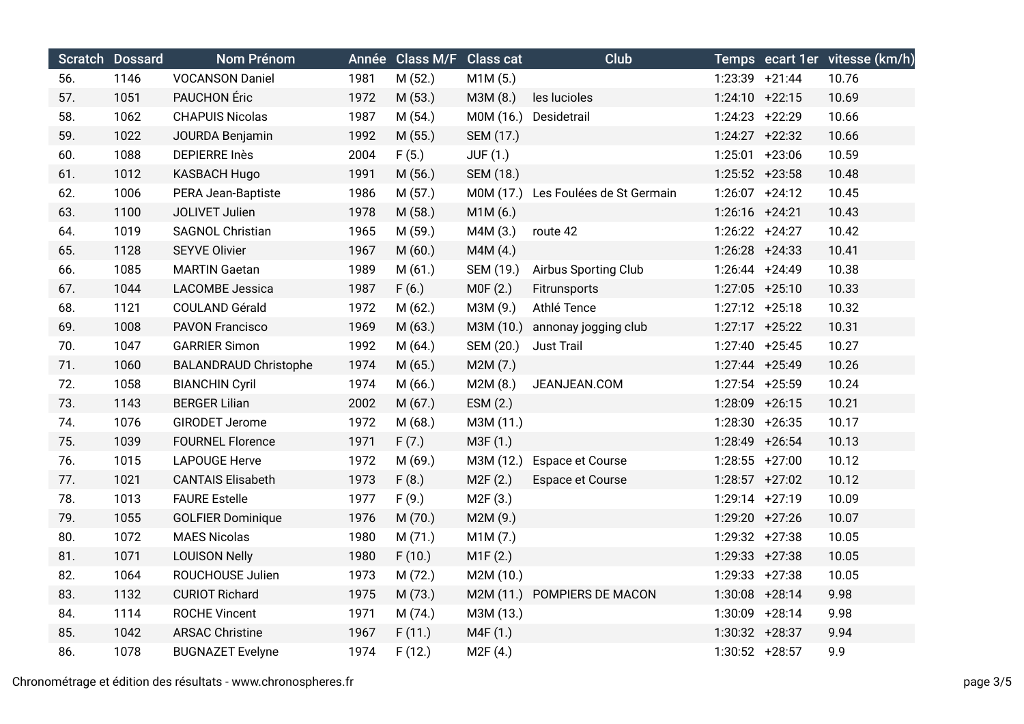|     | Scratch Dossard | Nom Prénom                   |      | Année Class M/F Class cat |                       | Club                                |                   |                  | Temps ecart 1er vitesse (km/h) |
|-----|-----------------|------------------------------|------|---------------------------|-----------------------|-------------------------------------|-------------------|------------------|--------------------------------|
| 56. | 1146            | <b>VOCANSON Daniel</b>       | 1981 | M (52.)                   | M1M(5.)               |                                     | $1:23:39$ +21:44  |                  | 10.76                          |
| 57. | 1051            | PAUCHON Éric                 | 1972 | M (53.)                   | M3M (8.)              | les lucioles                        |                   | $1:24:10 +22:15$ | 10.69                          |
| 58. | 1062            | <b>CHAPUIS Nicolas</b>       | 1987 | M (54.)                   | M0M (16.)             | Desidetrail                         | 1:24:23 +22:29    |                  | 10.66                          |
| 59. | 1022            | JOURDA Benjamin              | 1992 | M (55.)                   | SEM (17.)             |                                     |                   | $1:24:27$ +22:32 | 10.66                          |
| 60. | 1088            | <b>DEPIERRE Inès</b>         | 2004 | F(5.)                     | <b>JUF (1.)</b>       |                                     | 1:25:01 +23:06    |                  | 10.59                          |
| 61. | 1012            | <b>KASBACH Hugo</b>          | 1991 | M(56.)                    | SEM (18.)             |                                     |                   | $1:25:52$ +23:58 | 10.48                          |
| 62. | 1006            | PERA Jean-Baptiste           | 1986 | M(57.)                    |                       | M0M (17.) Les Foulées de St Germain | $1:26:07$ +24:12  |                  | 10.45                          |
| 63. | 1100            | JOLIVET Julien               | 1978 | M(58.)                    | M1M(6.)               |                                     | 1:26:16 +24:21    |                  | 10.43                          |
| 64. | 1019            | <b>SAGNOL Christian</b>      | 1965 | M (59.)                   | M4M (3.)              | route 42                            | $1:26:22 +24:27$  |                  | 10.42                          |
| 65. | 1128            | <b>SEYVE Olivier</b>         | 1967 | M(60.)                    | M4M(4.)               |                                     | $1:26:28$ +24:33  |                  | 10.41                          |
| 66. | 1085            | <b>MARTIN Gaetan</b>         | 1989 | M(61.)                    | SEM (19.)             | Airbus Sporting Club                | $1:26:44$ +24:49  |                  | 10.38                          |
| 67. | 1044            | <b>LACOMBE Jessica</b>       | 1987 | F(6.)                     | MOF(2.)               | Fitrunsports                        |                   | $1:27:05$ +25:10 | 10.33                          |
| 68. | 1121            | COULAND Gérald               | 1972 | M(62.)                    | M3M (9.)              | Athlé Tence                         | $1:27:12 + 25:18$ |                  | 10.32                          |
| 69. | 1008            | <b>PAVON Francisco</b>       | 1969 | M(63.)                    | M3M (10.)             | annonay jogging club                |                   | $1:27:17$ +25:22 | 10.31                          |
| 70. | 1047            | <b>GARRIER Simon</b>         | 1992 | M(64.)                    | SEM (20.)             | <b>Just Trail</b>                   | $1:27:40$ +25:45  |                  | 10.27                          |
| 71. | 1060            | <b>BALANDRAUD Christophe</b> | 1974 | M (65.)                   | M2M (7.)              |                                     | 1:27:44 +25:49    |                  | 10.26                          |
| 72. | 1058            | <b>BIANCHIN Cyril</b>        | 1974 | M(66.)                    | M2M(8.)               | JEANJEAN.COM                        | 1:27:54 +25:59    |                  | 10.24                          |
| 73. | 1143            | <b>BERGER Lilian</b>         | 2002 | M (67.)                   | ESM (2.)              |                                     |                   | 1:28:09 +26:15   | 10.21                          |
| 74. | 1076            | <b>GIRODET Jerome</b>        | 1972 | M(68.)                    | M3M (11.)             |                                     | 1:28:30 +26:35    |                  | 10.17                          |
| 75. | 1039            | <b>FOURNEL Florence</b>      | 1971 | F(7.)                     | M3F (1.)              |                                     |                   | 1:28:49 +26:54   | 10.13                          |
| 76. | 1015            | <b>LAPOUGE Herve</b>         | 1972 | M (69.)                   | M3M (12.)             | Espace et Course                    | $1:28:55$ +27:00  |                  | 10.12                          |
| 77. | 1021            | <b>CANTAIS Elisabeth</b>     | 1973 | F(8.)                     | M2F (2.)              | Espace et Course                    | $1:28:57$ +27:02  |                  | 10.12                          |
| 78. | 1013            | <b>FAURE Estelle</b>         | 1977 | F(9.)                     | M <sub>2</sub> F (3.) |                                     | 1:29:14 +27:19    |                  | 10.09                          |
| 79. | 1055            | <b>GOLFIER Dominique</b>     | 1976 | M (70.)                   | M2M (9.)              |                                     |                   | 1:29:20 +27:26   | 10.07                          |
| 80. | 1072            | <b>MAES Nicolas</b>          | 1980 | M (71.)                   | M1M(7.)               |                                     | 1:29:32 +27:38    |                  | 10.05                          |
| 81. | 1071            | <b>LOUISON Nelly</b>         | 1980 | F(10.)                    | M1F(2.)               |                                     | 1:29:33 +27:38    |                  | 10.05                          |
| 82. | 1064            | ROUCHOUSE Julien             | 1973 | M (72.)                   | M2M (10.)             |                                     | $1:29:33 +27:38$  |                  | 10.05                          |
| 83. | 1132            | <b>CURIOT Richard</b>        | 1975 | M (73.)                   |                       | M2M (11.) POMPIERS DE MACON         | $1:30:08$ +28:14  |                  | 9.98                           |
| 84. | 1114            | <b>ROCHE Vincent</b>         | 1971 | M (74.)                   | M3M (13.)             |                                     | 1:30:09 +28:14    |                  | 9.98                           |
| 85. | 1042            | <b>ARSAC Christine</b>       | 1967 | F(11.)                    | M4F (1.)              |                                     | 1:30:32 +28:37    |                  | 9.94                           |
| 86. | 1078            | <b>BUGNAZET Evelyne</b>      | 1974 | F(12.)                    | M2F(4.)               |                                     | 1:30:52 +28:57    |                  | 9.9                            |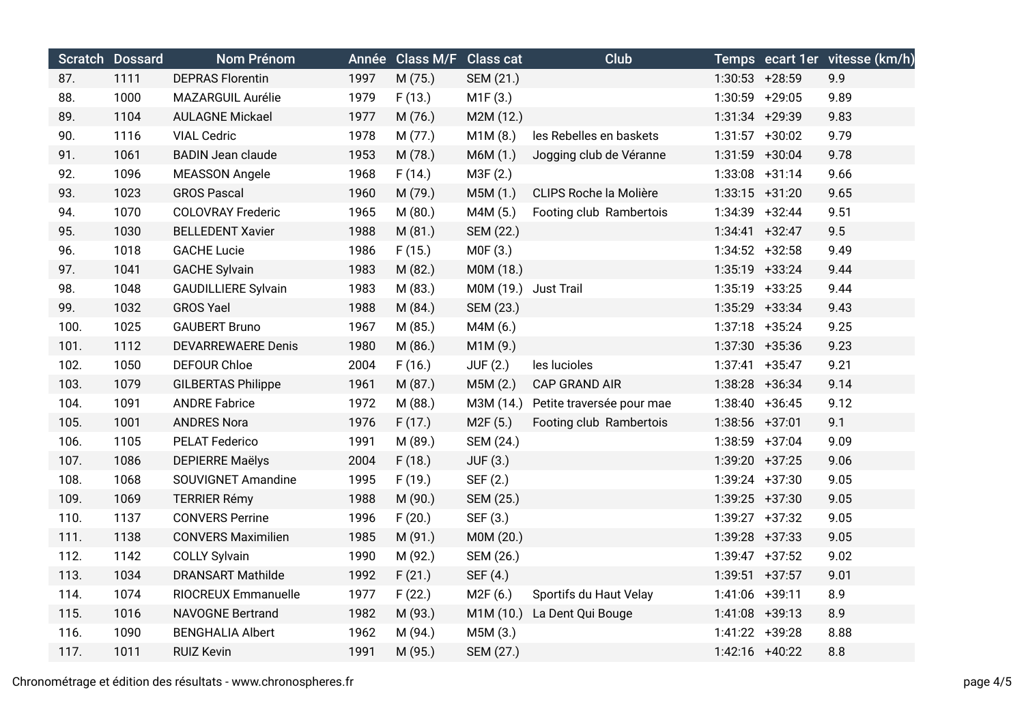|      | <b>Scratch Dossard</b> | <b>Nom Prénom</b>          |      | Année Class M/F Class cat |                      | Club                      |                   |                  | Temps ecart 1er vitesse (km/h) |
|------|------------------------|----------------------------|------|---------------------------|----------------------|---------------------------|-------------------|------------------|--------------------------------|
| 87.  | 1111                   | <b>DEPRAS Florentin</b>    | 1997 | M (75.)                   | SEM (21.)            |                           | $1:30:53$ +28:59  |                  | 9.9                            |
| 88.  | 1000                   | MAZARGUIL Aurélie          | 1979 | F(13.)                    | M1F(3.)              |                           | 1:30:59 +29:05    |                  | 9.89                           |
| 89.  | 1104                   | <b>AULAGNE Mickael</b>     | 1977 | M (76.)                   | M2M (12.)            |                           | 1:31:34 +29:39    |                  | 9.83                           |
| 90.  | 1116                   | <b>VIAL Cedric</b>         | 1978 | M (77.)                   | M1M(8.)              | les Rebelles en baskets   |                   | $1:31:57$ +30:02 | 9.79                           |
| 91.  | 1061                   | <b>BADIN Jean claude</b>   | 1953 | M (78.)                   | M6M (1.)             | Jogging club de Véranne   | 1:31:59 +30:04    |                  | 9.78                           |
| 92.  | 1096                   | <b>MEASSON Angele</b>      | 1968 | F(14.)                    | M3F (2.)             |                           | $1:33:08$ +31:14  |                  | 9.66                           |
| 93.  | 1023                   | <b>GROS Pascal</b>         | 1960 | M (79.)                   | M5M (1.)             | CLIPS Roche la Molière    | $1:33:15 +31:20$  |                  | 9.65                           |
| 94.  | 1070                   | <b>COLOVRAY Frederic</b>   | 1965 | M (80.)                   | M4M (5.)             | Footing club Rambertois   | 1:34:39 +32:44    |                  | 9.51                           |
| 95.  | 1030                   | <b>BELLEDENT Xavier</b>    | 1988 | M(81.)                    | SEM (22.)            |                           | $1:34:41 + 32:47$ |                  | 9.5                            |
| 96.  | 1018                   | <b>GACHE Lucie</b>         | 1986 | F(15.)                    | M0F (3.)             |                           |                   | $1:34:52 +32:58$ | 9.49                           |
| 97.  | 1041                   | <b>GACHE Sylvain</b>       | 1983 | M (82.)                   | M0M (18.)            |                           |                   | 1:35:19 +33:24   | 9.44                           |
| 98.  | 1048                   | <b>GAUDILLIERE Sylvain</b> | 1983 | M (83.)                   | M0M (19.) Just Trail |                           |                   | $1:35:19$ +33:25 | 9.44                           |
| 99.  | 1032                   | <b>GROS Yael</b>           | 1988 | M (84.)                   | SEM (23.)            |                           | 1:35:29 +33:34    |                  | 9.43                           |
| 100. | 1025                   | <b>GAUBERT Bruno</b>       | 1967 | M (85.)                   | M4M (6.)             |                           | $1:37:18$ +35:24  |                  | 9.25                           |
| 101. | 1112                   | <b>DEVARREWAERE Denis</b>  | 1980 | M (86.)                   | M1M(9.)              |                           |                   | 1:37:30 +35:36   | 9.23                           |
| 102. | 1050                   | <b>DEFOUR Chloe</b>        | 2004 | F(16.)                    | <b>JUF (2.)</b>      | les lucioles              |                   | $1:37:41$ +35:47 | 9.21                           |
| 103. | 1079                   | <b>GILBERTAS Philippe</b>  | 1961 | M (87.)                   | M5M(2.)              | <b>CAP GRAND AIR</b>      |                   | 1:38:28 +36:34   | 9.14                           |
| 104. | 1091                   | <b>ANDRE Fabrice</b>       | 1972 | M (88.)                   | M3M (14.)            | Petite traversée pour mae | $1:38:40 + 36:45$ |                  | 9.12                           |
| 105. | 1001                   | <b>ANDRES Nora</b>         | 1976 | F(17.)                    | M2F (5.)             | Footing club Rambertois   | 1:38:56 +37:01    |                  | 9.1                            |
| 106. | 1105                   | PELAT Federico             | 1991 | M (89.)                   | SEM (24.)            |                           | 1:38:59 +37:04    |                  | 9.09                           |
| 107. | 1086                   | <b>DEPIERRE Maëlys</b>     | 2004 | F(18.)                    | JUF (3.)             |                           |                   | 1:39:20 +37:25   | 9.06                           |
| 108. | 1068                   | SOUVIGNET Amandine         | 1995 | F(19.)                    | SEF (2.)             |                           |                   | 1:39:24 +37:30   | 9.05                           |
| 109. | 1069                   | <b>TERRIER Rémy</b>        | 1988 | M (90.)                   | SEM (25.)            |                           |                   | 1:39:25 +37:30   | 9.05                           |
| 110. | 1137                   | <b>CONVERS Perrine</b>     | 1996 | F(20.)                    | SEF (3.)             |                           |                   | 1:39:27 +37:32   | 9.05                           |
| 111. | 1138                   | <b>CONVERS Maximilien</b>  | 1985 | M (91.)                   | M0M (20.)            |                           |                   | 1:39:28 +37:33   | 9.05                           |
| 112. | 1142                   | <b>COLLY Sylvain</b>       | 1990 | M (92.)                   | SEM (26.)            |                           |                   | $1:39:47 +37:52$ | 9.02                           |
| 113. | 1034                   | <b>DRANSART Mathilde</b>   | 1992 | F(21.)                    | SEF (4.)             |                           | $1:39:51$ +37:57  |                  | 9.01                           |
| 114. | 1074                   | RIOCREUX Emmanuelle        | 1977 | F(22.)                    | M2F(6.)              | Sportifs du Haut Velay    | 1:41:06 +39:11    |                  | 8.9                            |
| 115. | 1016                   | <b>NAVOGNE Bertrand</b>    | 1982 | M (93.)                   | M1M (10.)            | La Dent Qui Bouge         | $1:41:08$ +39:13  |                  | 8.9                            |
| 116. | 1090                   | <b>BENGHALIA Albert</b>    | 1962 | M (94.)                   | M5M (3.)             |                           | 1:41:22 +39:28    |                  | 8.88                           |
| 117. | 1011                   | <b>RUIZ Kevin</b>          | 1991 | M (95.)                   | SEM (27.)            |                           | 1:42:16 +40:22    |                  | 8.8                            |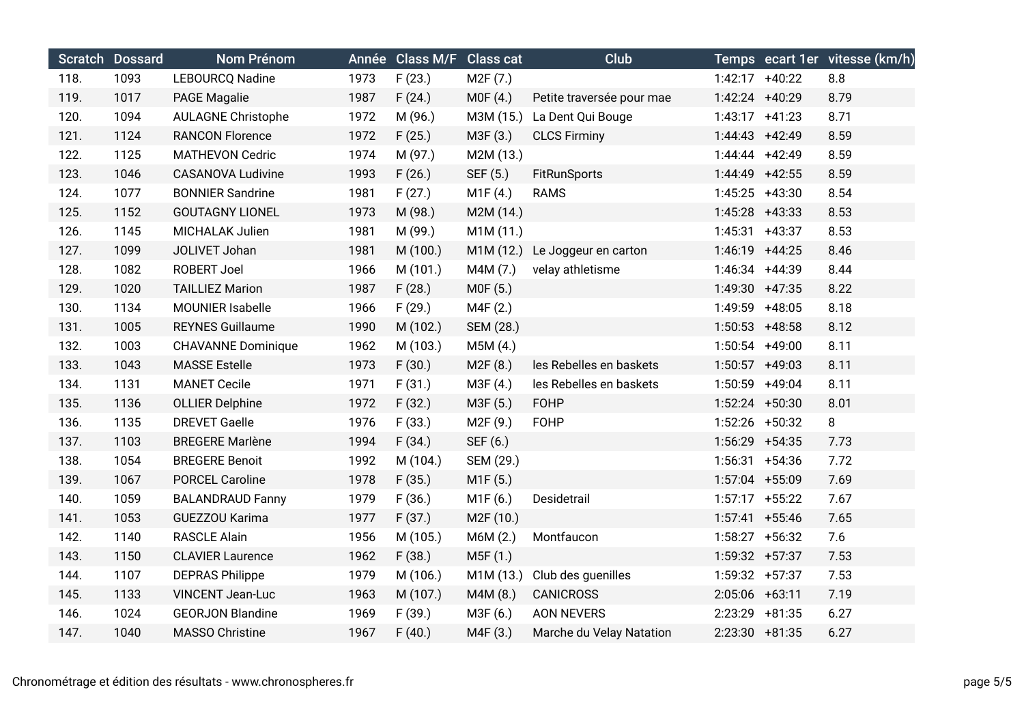|      | Scratch Dossard | Nom Prénom                |      | Année Class M/F Class cat |           | Club                      |                   | Temps ecart 1er vitesse (km/h) |
|------|-----------------|---------------------------|------|---------------------------|-----------|---------------------------|-------------------|--------------------------------|
| 118. | 1093            | <b>LEBOURCQ Nadine</b>    | 1973 | F(23.)                    | M2F (7.)  |                           | 1:42:17 +40:22    | 8.8                            |
| 119. | 1017            | <b>PAGE Magalie</b>       | 1987 | F(24.)                    | MOF(4.)   | Petite traversée pour mae | 1:42:24 +40:29    | 8.79                           |
| 120. | 1094            | <b>AULAGNE Christophe</b> | 1972 | M (96.)                   | M3M (15.) | La Dent Qui Bouge         | $1:43:17$ +41:23  | 8.71                           |
| 121. | 1124            | <b>RANCON Florence</b>    | 1972 | F(25.)                    | M3F (3.)  | <b>CLCS Firminy</b>       | 1:44:43 +42:49    | 8.59                           |
| 122. | 1125            | <b>MATHEVON Cedric</b>    | 1974 | M (97.)                   | M2M (13.) |                           | 1:44:44 +42:49    | 8.59                           |
| 123. | 1046            | <b>CASANOVA Ludivine</b>  | 1993 | F(26.)                    | SEF (5.)  | <b>FitRunSports</b>       | 1:44:49 +42:55    | 8.59                           |
| 124. | 1077            | <b>BONNIER Sandrine</b>   | 1981 | F(27.)                    | M1F(4.)   | <b>RAMS</b>               | 1:45:25 +43:30    | 8.54                           |
| 125. | 1152            | <b>GOUTAGNY LIONEL</b>    | 1973 | M (98.)                   | M2M (14.) |                           | 1:45:28 +43:33    | 8.53                           |
| 126. | 1145            | MICHALAK Julien           | 1981 | M (99.)                   | M1M (11.) |                           | $1:45:31 +43:37$  | 8.53                           |
| 127. | 1099            | JOLIVET Johan             | 1981 | M (100.)                  | M1M (12.) | Le Joggeur en carton      | 1:46:19 +44:25    | 8.46                           |
| 128. | 1082            | <b>ROBERT Joel</b>        | 1966 | M (101.)                  | M4M (7.)  | velay athletisme          | 1:46:34 +44:39    | 8.44                           |
| 129. | 1020            | <b>TAILLIEZ Marion</b>    | 1987 | F(28.)                    | M0F (5.)  |                           | 1:49:30 +47:35    | 8.22                           |
| 130. | 1134            | MOUNIER Isabelle          | 1966 | F(29.)                    | M4F (2.)  |                           | 1:49:59 +48:05    | 8.18                           |
| 131. | 1005            | <b>REYNES Guillaume</b>   | 1990 | M (102.)                  | SEM (28.) |                           | $1:50:53$ +48:58  | 8.12                           |
| 132. | 1003            | <b>CHAVANNE Dominique</b> | 1962 | M (103.)                  | M5M(4.)   |                           | 1:50:54 +49:00    | 8.11                           |
| 133. | 1043            | <b>MASSE Estelle</b>      | 1973 | F(30.)                    | M2F(8.)   | les Rebelles en baskets   | $1:50:57$ +49:03  | 8.11                           |
| 134. | 1131            | <b>MANET Cecile</b>       | 1971 | F(31.)                    | M3F(4.)   | les Rebelles en baskets   | 1:50:59 +49:04    | 8.11                           |
| 135. | 1136            | <b>OLLIER Delphine</b>    | 1972 | F(32.)                    | M3F (5.)  | <b>FOHP</b>               | 1:52:24 +50:30    | 8.01                           |
| 136. | 1135            | <b>DREVET Gaelle</b>      | 1976 | F(33.)                    | M2F (9.)  | <b>FOHP</b>               | 1:52:26 +50:32    | 8                              |
| 137. | 1103            | <b>BREGERE Marlène</b>    | 1994 | F(34.)                    | SEF (6.)  |                           | 1:56:29 +54:35    | 7.73                           |
| 138. | 1054            | <b>BREGERE Benoit</b>     | 1992 | M (104.)                  | SEM (29.) |                           | $1:56:31 +54:36$  | 7.72                           |
| 139. | 1067            | <b>PORCEL Caroline</b>    | 1978 | F(35.)                    | M1F(5.)   |                           | 1:57:04 +55:09    | 7.69                           |
| 140. | 1059            | <b>BALANDRAUD Fanny</b>   | 1979 | F(36.)                    | M1F (6.)  | Desidetrail               | $1:57:17$ +55:22  | 7.67                           |
| 141. | 1053            | GUEZZOU Karima            | 1977 | F(37.)                    | M2F (10.) |                           | $1:57:41$ +55:46  | 7.65                           |
| 142. | 1140            | <b>RASCLE Alain</b>       | 1956 | M (105.)                  | M6M (2.)  | Montfaucon                | $1:58:27$ +56:32  | 7.6                            |
| 143. | 1150            | <b>CLAVIER Laurence</b>   | 1962 | F(38.)                    | M5F (1.)  |                           | 1:59:32 +57:37    | 7.53                           |
| 144. | 1107            | <b>DEPRAS Philippe</b>    | 1979 | M (106.)                  | M1M (13.) | Club des guenilles        | 1:59:32 +57:37    | 7.53                           |
| 145. | 1133            | <b>VINCENT Jean-Luc</b>   | 1963 | M (107.)                  | M4M (8.)  | <b>CANICROSS</b>          | $2:05:06$ +63:11  | 7.19                           |
| 146. | 1024            | <b>GEORJON Blandine</b>   | 1969 | F(39.)                    | M3F (6.)  | <b>AON NEVERS</b>         | 2:23:29 +81:35    | 6.27                           |
| 147. | 1040            | <b>MASSO Christine</b>    | 1967 | F(40.)                    | M4F (3.)  | Marche du Velay Natation  | $2:23:30 + 81:35$ | 6.27                           |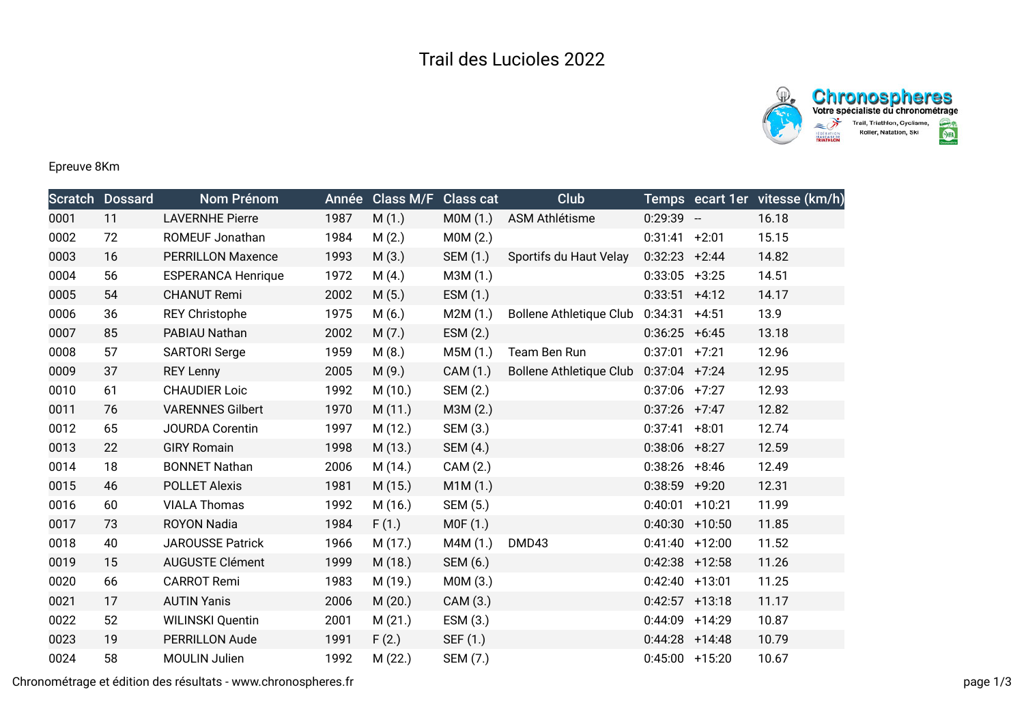



## Epreuve 8Km

|      | <b>Scratch Dossard</b> | Nom Prénom                | Année | <b>Class M/F</b> | <b>Class cat</b> | Club                           |                  |                  | Temps ecart 1er vitesse (km/h) |
|------|------------------------|---------------------------|-------|------------------|------------------|--------------------------------|------------------|------------------|--------------------------------|
| 0001 | 11                     | <b>LAVERNHE Pierre</b>    | 1987  | M(1.)            | MOM(1.)          | ASM Athlétisme                 | $0:29:39 -$      |                  | 16.18                          |
| 0002 | 72                     | ROMEUF Jonathan           | 1984  | M(2.)            | MOM(2.)          |                                | 0:31:41          | $+2:01$          | 15.15                          |
| 0003 | 16                     | <b>PERRILLON Maxence</b>  | 1993  | M(3.)            | SEM (1.)         | Sportifs du Haut Velay         | $0:32:23$ +2:44  |                  | 14.82                          |
| 0004 | 56                     | <b>ESPERANCA Henrique</b> | 1972  | M(4.)            | M3M (1.)         |                                | $0:33:05$ +3:25  |                  | 14.51                          |
| 0005 | 54                     | <b>CHANUT Remi</b>        | 2002  | M(5.)            | ESM (1.)         |                                | 0:33:51          | $+4:12$          | 14.17                          |
| 0006 | 36                     | <b>REY Christophe</b>     | 1975  | M(6.)            | M2M(1.)          | <b>Bollene Athletique Club</b> | 0:34:31          | $+4:51$          | 13.9                           |
| 0007 | 85                     | PABIAU Nathan             | 2002  | M(7.)            | ESM (2.)         |                                | $0:36:25 +6:45$  |                  | 13.18                          |
| 0008 | 57                     | <b>SARTORI Serge</b>      | 1959  | M(8.)            | M5M (1.)         | Team Ben Run                   | 0:37:01          | $+7:21$          | 12.96                          |
| 0009 | 37                     | <b>REY Lenny</b>          | 2005  | M(9.)            | CAM (1.)         | <b>Bollene Athletique Club</b> | $0:37:04$ +7:24  |                  | 12.95                          |
| 0010 | 61                     | <b>CHAUDIER Loic</b>      | 1992  | M(10.)           | SEM (2.)         |                                | $0:37:06$ +7:27  |                  | 12.93                          |
| 0011 | 76                     | <b>VARENNES Gilbert</b>   | 1970  | M(11.)           | M3M (2.)         |                                | $0:37:26$ +7:47  |                  | 12.82                          |
| 0012 | 65                     | <b>JOURDA Corentin</b>    | 1997  | M(12.)           | SEM (3.)         |                                | 0:37:41          | $+8:01$          | 12.74                          |
| 0013 | 22                     | <b>GIRY Romain</b>        | 1998  | M (13.)          | SEM (4.)         |                                | $0:38:06$ +8:27  |                  | 12.59                          |
| 0014 | 18                     | <b>BONNET Nathan</b>      | 2006  | M (14.)          | CAM (2.)         |                                | $0:38:26$ +8:46  |                  | 12.49                          |
| 0015 | 46                     | <b>POLLET Alexis</b>      | 1981  | M (15.)          | M1M(1.)          |                                | 0:38:59          | $+9:20$          | 12.31                          |
| 0016 | 60                     | <b>VIALA Thomas</b>       | 1992  | M (16.)          | SEM (5.)         |                                | 0:40:01          | $+10:21$         | 11.99                          |
| 0017 | 73                     | <b>ROYON Nadia</b>        | 1984  | F(1.)            | MOF(1.)          |                                |                  | $0:40:30$ +10:50 | 11.85                          |
| 0018 | 40                     | <b>JAROUSSE Patrick</b>   | 1966  | M (17.)          | M4M (1.)         | DMD43                          | $0:41:40 +12:00$ |                  | 11.52                          |
| 0019 | 15                     | <b>AUGUSTE Clément</b>    | 1999  | M (18.)          | SEM (6.)         |                                | $0:42:38$ +12:58 |                  | 11.26                          |
| 0020 | 66                     | <b>CARROT Remi</b>        | 1983  | M (19.)          | MOM(3.)          |                                | $0:42:40$ +13:01 |                  | 11.25                          |
| 0021 | 17                     | <b>AUTIN Yanis</b>        | 2006  | M(20.)           | CAM (3.)         |                                | $0:42:57$ +13:18 |                  | 11.17                          |
| 0022 | 52                     | <b>WILINSKI Quentin</b>   | 2001  | M(21.)           | ESM(3.)          |                                |                  | $0:44:09$ +14:29 | 10.87                          |
| 0023 | 19                     | <b>PERRILLON Aude</b>     | 1991  | F(2.)            | SEF (1.)         |                                | $0:44:28$ +14:48 |                  | 10.79                          |
| 0024 | 58                     | <b>MOULIN Julien</b>      | 1992  | M(22.)           | SEM (7.)         |                                |                  | $0:45:00$ +15:20 | 10.67                          |

Chronométrage et édition des résultats - www.chronospheres.fr page 1/3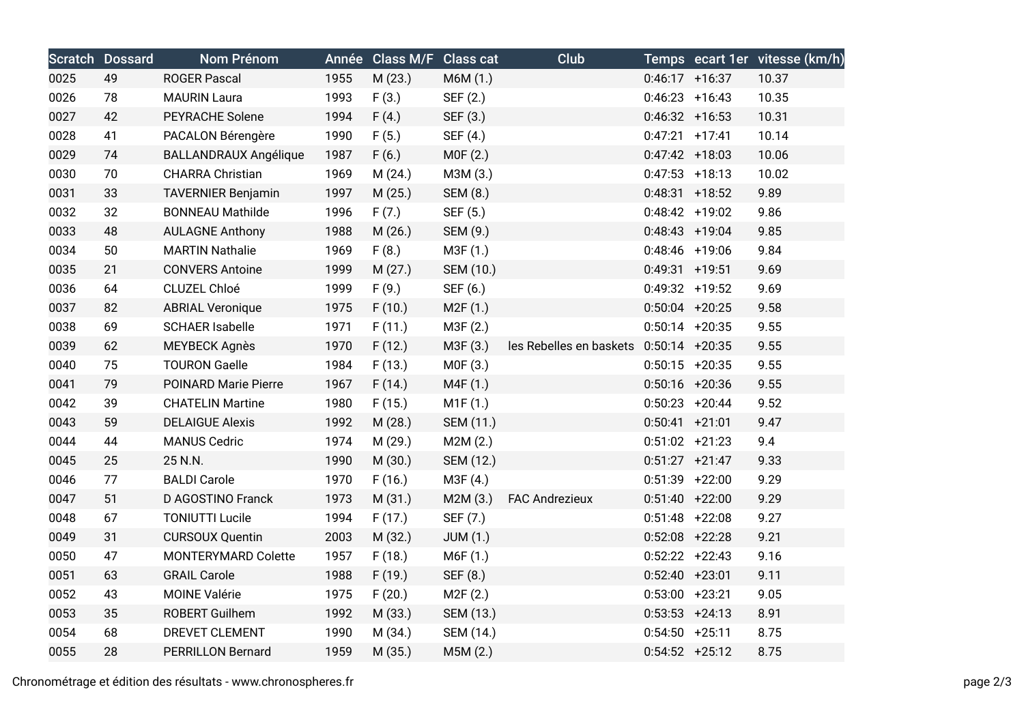|      | <b>Scratch Dossard</b> | Nom Prénom                   |      | Année Class M/F Class cat |                 | Club                    |                   |                  | Temps ecart 1er vitesse (km/h) |
|------|------------------------|------------------------------|------|---------------------------|-----------------|-------------------------|-------------------|------------------|--------------------------------|
| 0025 | 49                     | <b>ROGER Pascal</b>          | 1955 | M (23.)                   | M6M (1.)        |                         | $0:46:17$ +16:37  |                  | 10.37                          |
| 0026 | 78                     | <b>MAURIN Laura</b>          | 1993 | F(3.)                     | SEF (2.)        |                         | $0:46:23 + 16:43$ |                  | 10.35                          |
| 0027 | 42                     | PEYRACHE Solene              | 1994 | F(4.)                     | SEF (3.)        |                         | $0:46:32 +16:53$  |                  | 10.31                          |
| 0028 | 41                     | PACALON Bérengère            | 1990 | F(5.)                     | SEF (4.)        |                         | $0:47:21$ +17:41  |                  | 10.14                          |
| 0029 | 74                     | <b>BALLANDRAUX Angélique</b> | 1987 | F(6.)                     | MOF(2.)         |                         | $0:47:42$ +18:03  |                  | 10.06                          |
| 0030 | 70                     | <b>CHARRA Christian</b>      | 1969 | M(24.)                    | M3M (3.)        |                         | $0:47:53$ +18:13  |                  | 10.02                          |
| 0031 | 33                     | <b>TAVERNIER Benjamin</b>    | 1997 | M (25.)                   | <b>SEM (8.)</b> |                         | $0:48:31$ +18:52  |                  | 9.89                           |
| 0032 | 32                     | <b>BONNEAU Mathilde</b>      | 1996 | F(7.)                     | SEF (5.)        |                         | $0:48:42 +19:02$  |                  | 9.86                           |
| 0033 | 48                     | <b>AULAGNE Anthony</b>       | 1988 | M(26.)                    | SEM (9.)        |                         | $0:48:43$ +19:04  |                  | 9.85                           |
| 0034 | 50                     | <b>MARTIN Nathalie</b>       | 1969 | F(8.)                     | M3F (1.)        |                         | $0:48:46$ +19:06  |                  | 9.84                           |
| 0035 | 21                     | <b>CONVERS Antoine</b>       | 1999 | M(27.)                    | SEM (10.)       |                         | $0:49:31$ +19:51  |                  | 9.69                           |
| 0036 | 64                     | CLUZEL Chloé                 | 1999 | F(9.)                     | SEF (6.)        |                         | $0:49:32 +19:52$  |                  | 9.69                           |
| 0037 | 82                     | <b>ABRIAL Veronique</b>      | 1975 | F(10.)                    | M2F(1.)         |                         | $0:50:04$ +20:25  |                  | 9.58                           |
| 0038 | 69                     | <b>SCHAER Isabelle</b>       | 1971 | F(11.)                    | M3F (2.)        |                         | $0:50:14$ +20:35  |                  | 9.55                           |
| 0039 | 62                     | <b>MEYBECK Agnès</b>         | 1970 | F(12.)                    | M3F (3.)        | les Rebelles en baskets | $0:50:14$ +20:35  |                  | 9.55                           |
| 0040 | 75                     | <b>TOURON Gaelle</b>         | 1984 | F(13.)                    | MOF(3.)         |                         | $0:50:15$ +20:35  |                  | 9.55                           |
| 0041 | 79                     | POINARD Marie Pierre         | 1967 | F(14.)                    | M4F (1.)        |                         | $0:50:16$ +20:36  |                  | 9.55                           |
| 0042 | 39                     | <b>CHATELIN Martine</b>      | 1980 | F(15.)                    | M1F(1.)         |                         |                   | $0:50:23$ +20:44 | 9.52                           |
| 0043 | 59                     | <b>DELAIGUE Alexis</b>       | 1992 | M(28.)                    | SEM (11.)       |                         | $0:50:41 + 21:01$ |                  | 9.47                           |
| 0044 | 44                     | <b>MANUS Cedric</b>          | 1974 | M (29.)                   | M2M(2.)         |                         | $0:51:02$ +21:23  |                  | 9.4                            |
| 0045 | 25                     | 25 N.N.                      | 1990 | M (30.)                   | SEM (12.)       |                         | $0:51:27$ +21:47  |                  | 9.33                           |
| 0046 | 77                     | <b>BALDI Carole</b>          | 1970 | F(16.)                    | M3F (4.)        |                         | $0:51:39$ +22:00  |                  | 9.29                           |
| 0047 | 51                     | D AGOSTINO Franck            | 1973 | M (31.)                   | M2M(3.)         | <b>FAC Andrezieux</b>   | $0:51:40 +22:00$  |                  | 9.29                           |
| 0048 | 67                     | <b>TONIUTTI Lucile</b>       | 1994 | F(17.)                    | SEF (7.)        |                         | $0:51:48$ +22:08  |                  | 9.27                           |
| 0049 | 31                     | <b>CURSOUX Quentin</b>       | 2003 | M (32.)                   | <b>JUM (1.)</b> |                         | $0:52:08$ +22:28  |                  | 9.21                           |
| 0050 | 47                     | MONTERYMARD Colette          | 1957 | F(18.)                    | M6F (1.)        |                         | $0:52:22 +22:43$  |                  | 9.16                           |
| 0051 | 63                     | <b>GRAIL Carole</b>          | 1988 | F(19.)                    | SEF (8.)        |                         | $0:52:40 + 23:01$ |                  | 9.11                           |
| 0052 | 43                     | <b>MOINE Valérie</b>         | 1975 | F(20.)                    | M2F(2.)         |                         | $0:53:00$ +23:21  |                  | 9.05                           |
| 0053 | 35                     | ROBERT Guilhem               | 1992 | M (33.)                   | SEM (13.)       |                         | $0:53:53$ +24:13  |                  | 8.91                           |
| 0054 | 68                     | DREVET CLEMENT               | 1990 | M (34.)                   | SEM (14.)       |                         | $0:54:50 + 25:11$ |                  | 8.75                           |
| 0055 | 28                     | <b>PERRILLON Bernard</b>     | 1959 | M (35.)                   | M5M (2.)        |                         | $0:54:52 + 25:12$ |                  | 8.75                           |